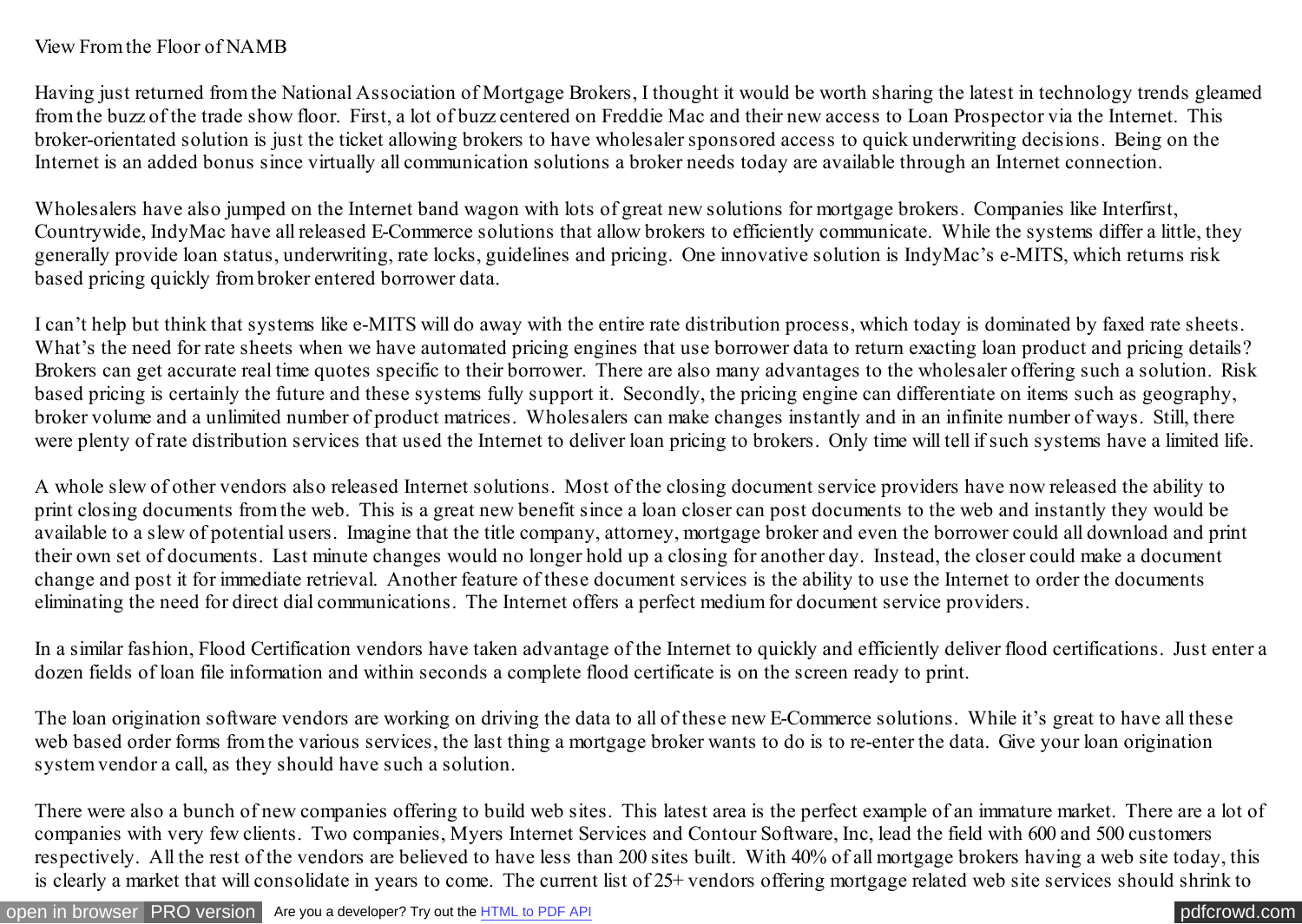## View From the Floor of NAMB

Having just returned from the National Association of Mortgage Brokers, I thought it would be worth sharing the latest in technology trends gleamed from the buzz of the trade show floor. First, a lot of buzz centered on Freddie Mac and their new access to Loan Prospector via the Internet. This broker-orientated solution is just the ticket allowing brokers to have wholesaler sponsored access to quick underwriting decisions. Being on the Internet is an added bonus since virtually all communication solutions a broker needs today are available through an Internet connection.

Wholesalers have also jumped on the Internet band wagon with lots of great new solutions for mortgage brokers. Companies like Interfirst, Countrywide, IndyMac have all released E-Commerce solutions that allow brokers to efficiently communicate. While the systems differ a little, they generally provide loan status, underwriting, rate locks, guidelines and pricing. One innovative solution is IndyMac's e-MITS, which returns risk based pricing quickly from broker entered borrower data.

I can't help but think that systems like e-MITS will do away with the entire rate distribution process, which today is dominated by faxed rate sheets. What's the need for rate sheets when we have automated pricing engines that use borrower data to return exacting loan product and pricing details? Brokers can get accurate real time quotes specific to their borrower. There are also many advantages to the wholesaler offering such a solution. Risk based pricing is certainly the future and these systems fully support it. Secondly, the pricing engine can differentiate on items such as geography, broker volume and a unlimited number of product matrices. Wholesalers can make changes instantly and in an infinite number of ways. Still, there were plenty of rate distribution services that used the Internet to deliver loan pricing to brokers. Only time will tell if such systems have a limited life.

A whole slew of other vendors also released Internet solutions. Most of the closing document service providers have now released the ability to print closing documents from the web. This is a great new benefit since a loan closer can post documents to the web and instantly they would be available to a slew of potential users. Imagine that the title company, attorney, mortgage broker and even the borrower could all download and print their own set of documents. Last minute changes would no longer hold up a closing for another day. Instead, the closer could make a document change and post it for immediate retrieval. Another feature of these document services is the ability to use the Internet to order the documents eliminating the need for direct dial communications. The Internet offers a perfect medium for document service providers.

In a similar fashion, Flood Certification vendors have taken advantage of the Internet to quickly and efficiently deliver flood certifications. Just enter a dozen fields of loan file information and within seconds a complete flood certificate is on the screen ready to print.

The loan origination software vendors are working on driving the data to all of these new E-Commerce solutions. While it's great to have all these web based order forms from the various services, the last thing a mortgage broker wants to do is to re-enter the data. Give your loan origination system vendor a call, as they should have such a solution.

There were also a bunch of new companies offering to build web sites. This latest area is the perfect example of an immature market. There are a lot of companies with very few clients. Two companies, Myers Internet Services and Contour Software, Inc, lead the field with 600 and 500 customers respectively. All the rest of the vendors are believed to have less than 200 sites built. With 40% of all mortgage brokers having a web site today, this is clearly a market that will consolidate in years to come. The current list of 25+ vendors offering mortgage related web site services should shrink to